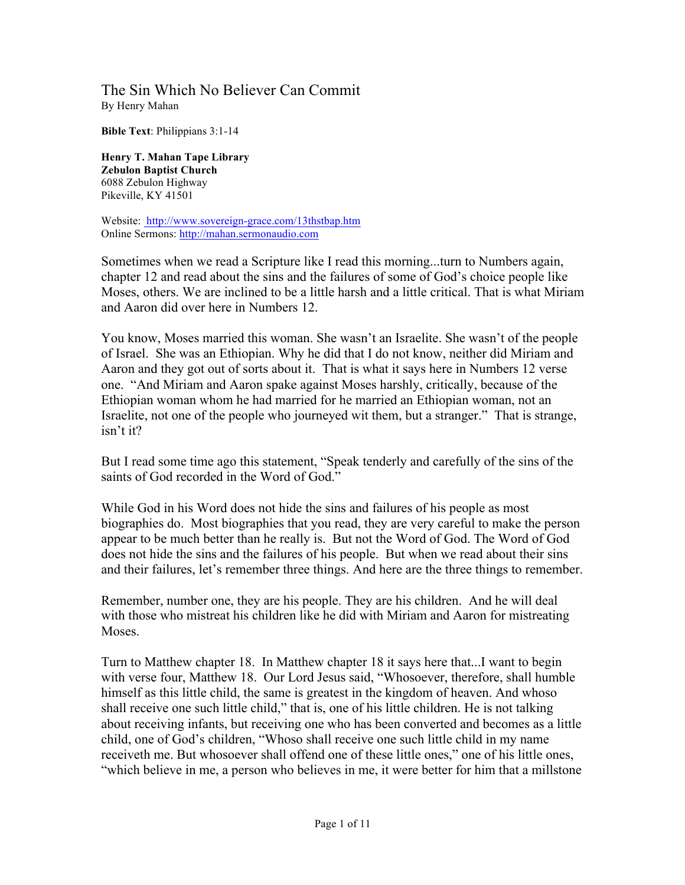## The Sin Which No Believer Can Commit By Henry Mahan

**Bible Text**: Philippians 3:1-14

**Henry T. Mahan Tape Library Zebulon Baptist Church** 6088 Zebulon Highway Pikeville, KY 41501

Website: http://www.sovereign-grace.com/13thstbap.htm Online Sermons: http://mahan.sermonaudio.com

Sometimes when we read a Scripture like I read this morning...turn to Numbers again, chapter 12 and read about the sins and the failures of some of God's choice people like Moses, others. We are inclined to be a little harsh and a little critical. That is what Miriam and Aaron did over here in Numbers 12.

You know, Moses married this woman. She wasn't an Israelite. She wasn't of the people of Israel. She was an Ethiopian. Why he did that I do not know, neither did Miriam and Aaron and they got out of sorts about it. That is what it says here in Numbers 12 verse one. "And Miriam and Aaron spake against Moses harshly, critically, because of the Ethiopian woman whom he had married for he married an Ethiopian woman, not an Israelite, not one of the people who journeyed wit them, but a stranger." That is strange, isn't it?

But I read some time ago this statement, "Speak tenderly and carefully of the sins of the saints of God recorded in the Word of God."

While God in his Word does not hide the sins and failures of his people as most biographies do. Most biographies that you read, they are very careful to make the person appear to be much better than he really is. But not the Word of God. The Word of God does not hide the sins and the failures of his people. But when we read about their sins and their failures, let's remember three things. And here are the three things to remember.

Remember, number one, they are his people. They are his children. And he will deal with those who mistreat his children like he did with Miriam and Aaron for mistreating **Moses** 

Turn to Matthew chapter 18. In Matthew chapter 18 it says here that...I want to begin with verse four, Matthew 18. Our Lord Jesus said, "Whosoever, therefore, shall humble himself as this little child, the same is greatest in the kingdom of heaven. And whoso shall receive one such little child," that is, one of his little children. He is not talking about receiving infants, but receiving one who has been converted and becomes as a little child, one of God's children, "Whoso shall receive one such little child in my name receiveth me. But whosoever shall offend one of these little ones," one of his little ones, "which believe in me, a person who believes in me, it were better for him that a millstone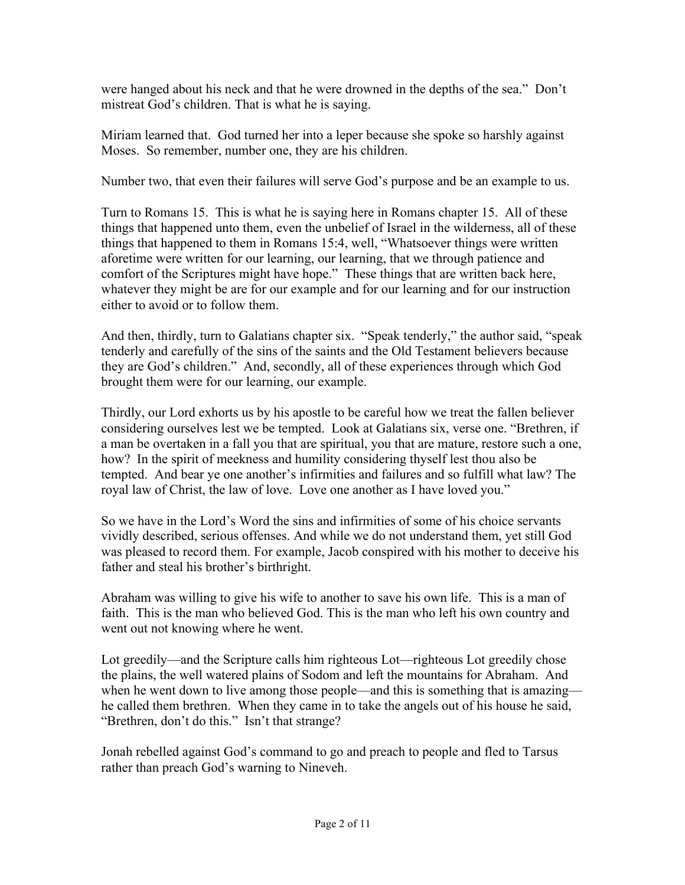were hanged about his neck and that he were drowned in the depths of the sea." Don't mistreat God's children. That is what he is saying.

Miriam learned that. God turned her into a leper because she spoke so harshly against Moses. So remember, number one, they are his children.

Number two, that even their failures will serve God's purpose and be an example to us.

Turn to Romans 15. This is what he is saying here in Romans chapter 15. All of these things that happened unto them, even the unbelief of Israel in the wilderness, all of these things that happened to them in Romans 15:4, well, "Whatsoever things were written aforetime were written for our learning, our learning, that we through patience and comfort of the Scriptures might have hope." These things that are written back here, whatever they might be are for our example and for our learning and for our instruction either to avoid or to follow them.

And then, thirdly, turn to Galatians chapter six. "Speak tenderly," the author said, "speak tenderly and carefully of the sins of the saints and the Old Testament believers because they are God's children." And, secondly, all of these experiences through which God brought them were for our learning, our example.

Thirdly, our Lord exhorts us by his apostle to be careful how we treat the fallen believer considering ourselves lest we be tempted. Look at Galatians six, verse one. "Brethren, if a man be overtaken in a fall you that are spiritual, you that are mature, restore such a one, how? In the spirit of meekness and humility considering thyself lest thou also be tempted. And bear ye one another's infirmities and failures and so fulfill what law? The royal law of Christ, the law of love. Love one another as I have loved you."

So we have in the Lord's Word the sins and infirmities of some of his choice servants vividly described, serious offenses. And while we do not understand them, yet still God was pleased to record them. For example, Jacob conspired with his mother to deceive his father and steal his brother's birthright.

Abraham was willing to give his wife to another to save his own life. This is a man of faith. This is the man who believed God. This is the man who left his own country and went out not knowing where he went.

Lot greedily—and the Scripture calls him righteous Lot—righteous Lot greedily chose the plains, the well watered plains of Sodom and left the mountains for Abraham. And when he went down to live among those people—and this is something that is amazing he called them brethren. When they came in to take the angels out of his house he said, "Brethren, don't do this." Isn't that strange?

Jonah rebelled against God's command to go and preach to people and fled to Tarsus rather than preach God's warning to Nineveh.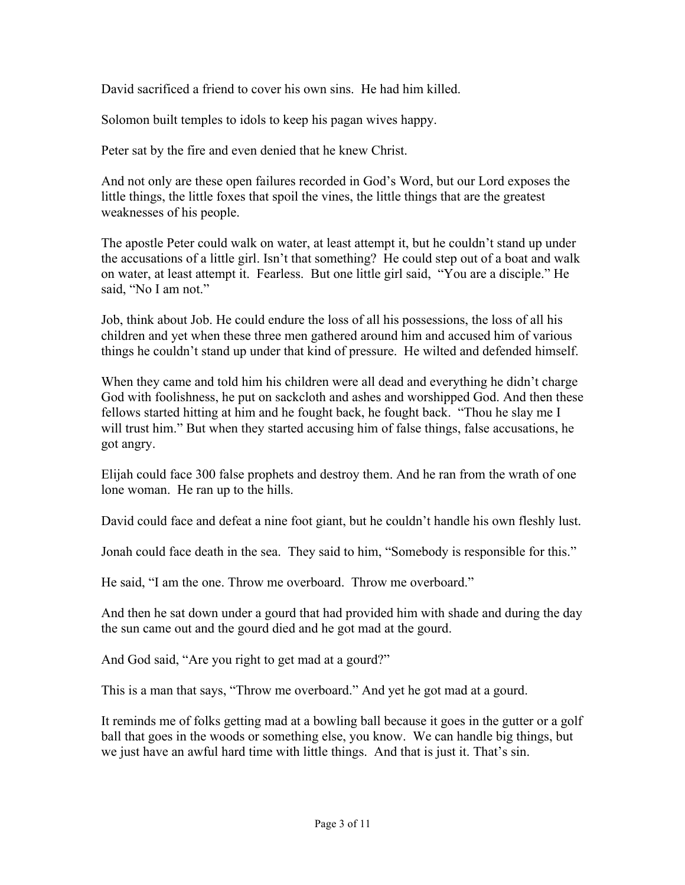David sacrificed a friend to cover his own sins. He had him killed.

Solomon built temples to idols to keep his pagan wives happy.

Peter sat by the fire and even denied that he knew Christ.

And not only are these open failures recorded in God's Word, but our Lord exposes the little things, the little foxes that spoil the vines, the little things that are the greatest weaknesses of his people.

The apostle Peter could walk on water, at least attempt it, but he couldn't stand up under the accusations of a little girl. Isn't that something? He could step out of a boat and walk on water, at least attempt it. Fearless. But one little girl said, "You are a disciple." He said, "No I am not."

Job, think about Job. He could endure the loss of all his possessions, the loss of all his children and yet when these three men gathered around him and accused him of various things he couldn't stand up under that kind of pressure. He wilted and defended himself.

When they came and told him his children were all dead and everything he didn't charge God with foolishness, he put on sackcloth and ashes and worshipped God. And then these fellows started hitting at him and he fought back, he fought back. "Thou he slay me I will trust him." But when they started accusing him of false things, false accusations, he got angry.

Elijah could face 300 false prophets and destroy them. And he ran from the wrath of one lone woman. He ran up to the hills.

David could face and defeat a nine foot giant, but he couldn't handle his own fleshly lust.

Jonah could face death in the sea. They said to him, "Somebody is responsible for this."

He said, "I am the one. Throw me overboard. Throw me overboard."

And then he sat down under a gourd that had provided him with shade and during the day the sun came out and the gourd died and he got mad at the gourd.

And God said, "Are you right to get mad at a gourd?"

This is a man that says, "Throw me overboard." And yet he got mad at a gourd.

It reminds me of folks getting mad at a bowling ball because it goes in the gutter or a golf ball that goes in the woods or something else, you know. We can handle big things, but we just have an awful hard time with little things. And that is just it. That's sin.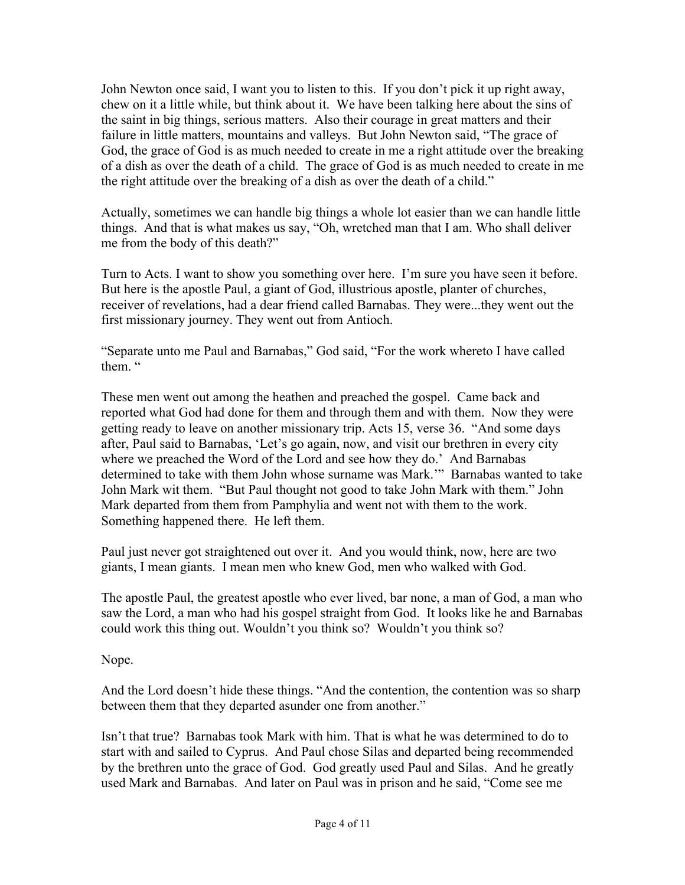John Newton once said, I want you to listen to this. If you don't pick it up right away, chew on it a little while, but think about it. We have been talking here about the sins of the saint in big things, serious matters. Also their courage in great matters and their failure in little matters, mountains and valleys. But John Newton said, "The grace of God, the grace of God is as much needed to create in me a right attitude over the breaking of a dish as over the death of a child. The grace of God is as much needed to create in me the right attitude over the breaking of a dish as over the death of a child."

Actually, sometimes we can handle big things a whole lot easier than we can handle little things. And that is what makes us say, "Oh, wretched man that I am. Who shall deliver me from the body of this death?"

Turn to Acts. I want to show you something over here. I'm sure you have seen it before. But here is the apostle Paul, a giant of God, illustrious apostle, planter of churches, receiver of revelations, had a dear friend called Barnabas. They were...they went out the first missionary journey. They went out from Antioch.

"Separate unto me Paul and Barnabas," God said, "For the work whereto I have called them. "

These men went out among the heathen and preached the gospel. Came back and reported what God had done for them and through them and with them. Now they were getting ready to leave on another missionary trip. Acts 15, verse 36. "And some days after, Paul said to Barnabas, 'Let's go again, now, and visit our brethren in every city where we preached the Word of the Lord and see how they do.' And Barnabas determined to take with them John whose surname was Mark.'" Barnabas wanted to take John Mark wit them. "But Paul thought not good to take John Mark with them." John Mark departed from them from Pamphylia and went not with them to the work. Something happened there. He left them.

Paul just never got straightened out over it. And you would think, now, here are two giants, I mean giants. I mean men who knew God, men who walked with God.

The apostle Paul, the greatest apostle who ever lived, bar none, a man of God, a man who saw the Lord, a man who had his gospel straight from God. It looks like he and Barnabas could work this thing out. Wouldn't you think so? Wouldn't you think so?

Nope.

And the Lord doesn't hide these things. "And the contention, the contention was so sharp between them that they departed asunder one from another."

Isn't that true? Barnabas took Mark with him. That is what he was determined to do to start with and sailed to Cyprus. And Paul chose Silas and departed being recommended by the brethren unto the grace of God. God greatly used Paul and Silas. And he greatly used Mark and Barnabas. And later on Paul was in prison and he said, "Come see me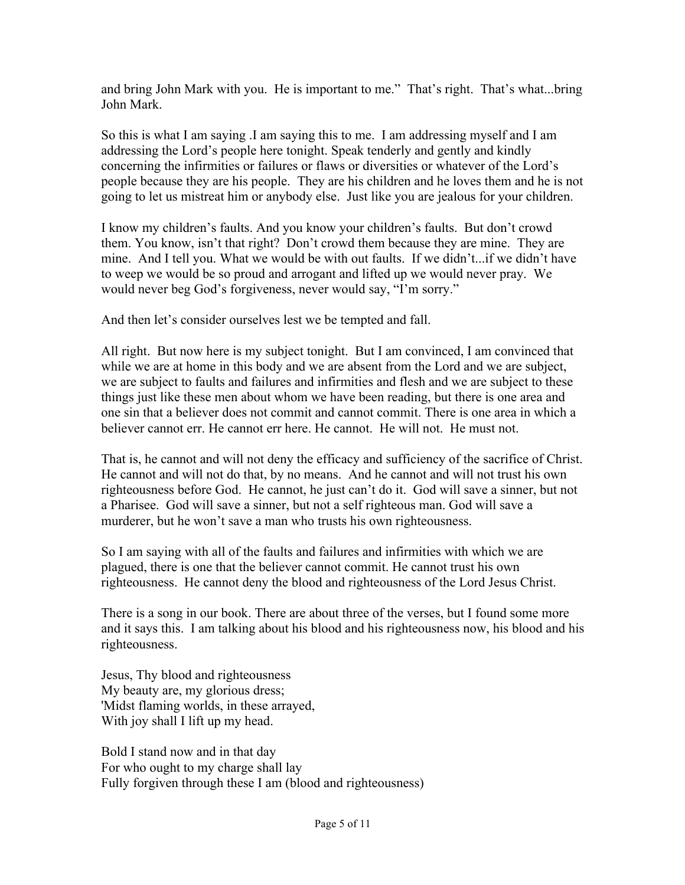and bring John Mark with you. He is important to me." That's right. That's what...bring John Mark.

So this is what I am saying .I am saying this to me. I am addressing myself and I am addressing the Lord's people here tonight. Speak tenderly and gently and kindly concerning the infirmities or failures or flaws or diversities or whatever of the Lord's people because they are his people. They are his children and he loves them and he is not going to let us mistreat him or anybody else. Just like you are jealous for your children.

I know my children's faults. And you know your children's faults. But don't crowd them. You know, isn't that right? Don't crowd them because they are mine. They are mine. And I tell you. What we would be with out faults. If we didn't...if we didn't have to weep we would be so proud and arrogant and lifted up we would never pray. We would never beg God's forgiveness, never would say, "I'm sorry."

And then let's consider ourselves lest we be tempted and fall.

All right. But now here is my subject tonight. But I am convinced, I am convinced that while we are at home in this body and we are absent from the Lord and we are subject, we are subject to faults and failures and infirmities and flesh and we are subject to these things just like these men about whom we have been reading, but there is one area and one sin that a believer does not commit and cannot commit. There is one area in which a believer cannot err. He cannot err here. He cannot. He will not. He must not.

That is, he cannot and will not deny the efficacy and sufficiency of the sacrifice of Christ. He cannot and will not do that, by no means. And he cannot and will not trust his own righteousness before God. He cannot, he just can't do it. God will save a sinner, but not a Pharisee. God will save a sinner, but not a self righteous man. God will save a murderer, but he won't save a man who trusts his own righteousness.

So I am saying with all of the faults and failures and infirmities with which we are plagued, there is one that the believer cannot commit. He cannot trust his own righteousness. He cannot deny the blood and righteousness of the Lord Jesus Christ.

There is a song in our book. There are about three of the verses, but I found some more and it says this. I am talking about his blood and his righteousness now, his blood and his righteousness.

Jesus, Thy blood and righteousness My beauty are, my glorious dress; 'Midst flaming worlds, in these arrayed, With joy shall I lift up my head.

Bold I stand now and in that day For who ought to my charge shall lay Fully forgiven through these I am (blood and righteousness)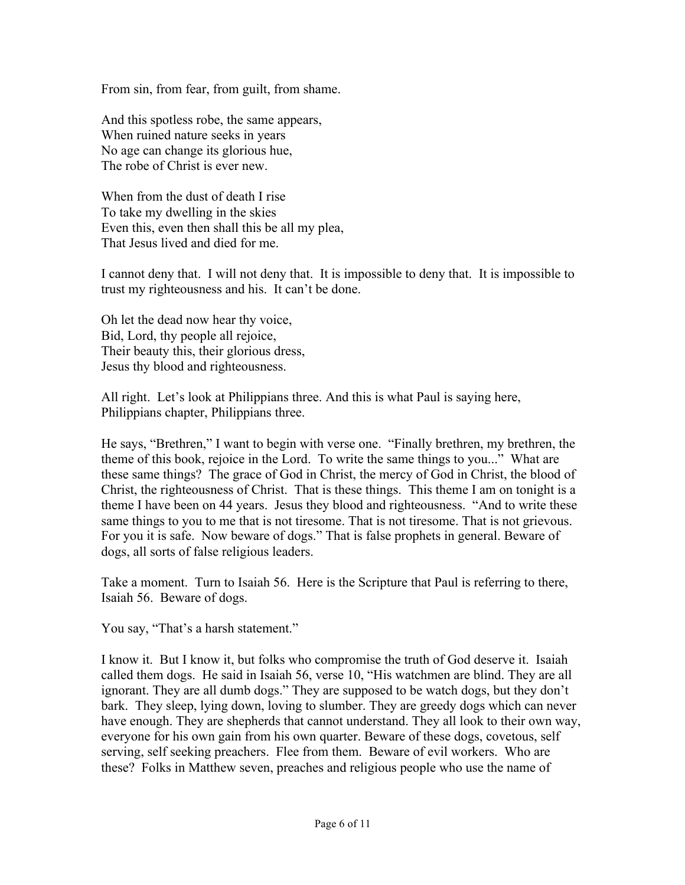From sin, from fear, from guilt, from shame.

And this spotless robe, the same appears, When ruined nature seeks in years No age can change its glorious hue, The robe of Christ is ever new.

When from the dust of death I rise To take my dwelling in the skies Even this, even then shall this be all my plea, That Jesus lived and died for me.

I cannot deny that. I will not deny that. It is impossible to deny that. It is impossible to trust my righteousness and his. It can't be done.

Oh let the dead now hear thy voice, Bid, Lord, thy people all rejoice, Their beauty this, their glorious dress, Jesus thy blood and righteousness.

All right. Let's look at Philippians three. And this is what Paul is saying here, Philippians chapter, Philippians three.

He says, "Brethren," I want to begin with verse one. "Finally brethren, my brethren, the theme of this book, rejoice in the Lord. To write the same things to you..." What are these same things? The grace of God in Christ, the mercy of God in Christ, the blood of Christ, the righteousness of Christ. That is these things. This theme I am on tonight is a theme I have been on 44 years. Jesus they blood and righteousness. "And to write these same things to you to me that is not tiresome. That is not tiresome. That is not grievous. For you it is safe. Now beware of dogs." That is false prophets in general. Beware of dogs, all sorts of false religious leaders.

Take a moment. Turn to Isaiah 56. Here is the Scripture that Paul is referring to there, Isaiah 56. Beware of dogs.

You say, "That's a harsh statement."

I know it. But I know it, but folks who compromise the truth of God deserve it. Isaiah called them dogs. He said in Isaiah 56, verse 10, "His watchmen are blind. They are all ignorant. They are all dumb dogs." They are supposed to be watch dogs, but they don't bark. They sleep, lying down, loving to slumber. They are greedy dogs which can never have enough. They are shepherds that cannot understand. They all look to their own way, everyone for his own gain from his own quarter. Beware of these dogs, covetous, self serving, self seeking preachers. Flee from them. Beware of evil workers. Who are these? Folks in Matthew seven, preaches and religious people who use the name of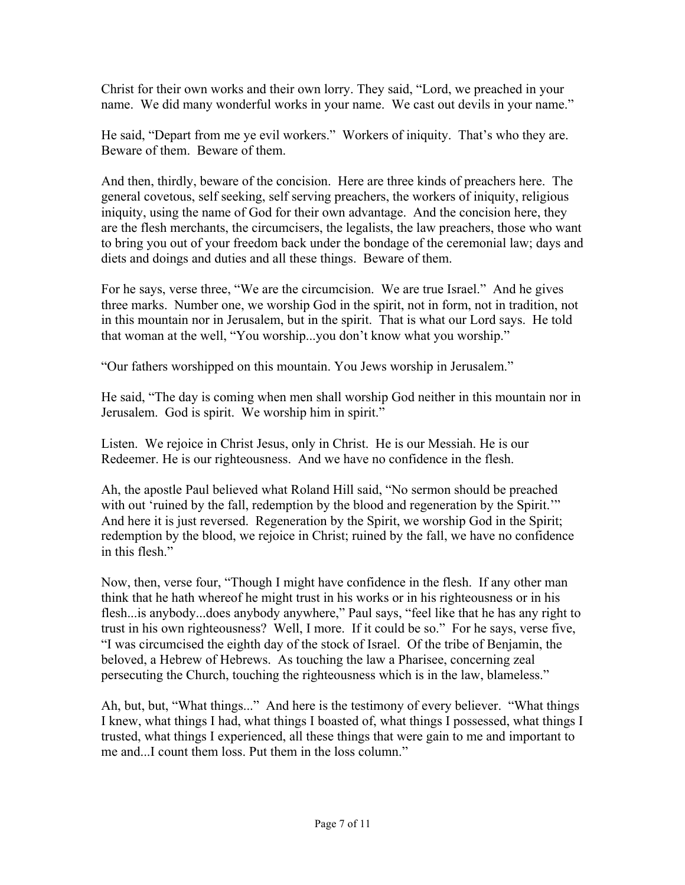Christ for their own works and their own lorry. They said, "Lord, we preached in your name. We did many wonderful works in your name. We cast out devils in your name."

He said, "Depart from me ye evil workers." Workers of iniquity. That's who they are. Beware of them. Beware of them.

And then, thirdly, beware of the concision. Here are three kinds of preachers here. The general covetous, self seeking, self serving preachers, the workers of iniquity, religious iniquity, using the name of God for their own advantage. And the concision here, they are the flesh merchants, the circumcisers, the legalists, the law preachers, those who want to bring you out of your freedom back under the bondage of the ceremonial law; days and diets and doings and duties and all these things. Beware of them.

For he says, verse three, "We are the circumcision. We are true Israel." And he gives three marks. Number one, we worship God in the spirit, not in form, not in tradition, not in this mountain nor in Jerusalem, but in the spirit. That is what our Lord says. He told that woman at the well, "You worship...you don't know what you worship."

"Our fathers worshipped on this mountain. You Jews worship in Jerusalem."

He said, "The day is coming when men shall worship God neither in this mountain nor in Jerusalem. God is spirit. We worship him in spirit."

Listen. We rejoice in Christ Jesus, only in Christ. He is our Messiah. He is our Redeemer. He is our righteousness. And we have no confidence in the flesh.

Ah, the apostle Paul believed what Roland Hill said, "No sermon should be preached with out 'ruined by the fall, redemption by the blood and regeneration by the Spirit.'" And here it is just reversed. Regeneration by the Spirit, we worship God in the Spirit; redemption by the blood, we rejoice in Christ; ruined by the fall, we have no confidence in this flesh."

Now, then, verse four, "Though I might have confidence in the flesh. If any other man think that he hath whereof he might trust in his works or in his righteousness or in his flesh...is anybody...does anybody anywhere," Paul says, "feel like that he has any right to trust in his own righteousness? Well, I more. If it could be so." For he says, verse five, "I was circumcised the eighth day of the stock of Israel. Of the tribe of Benjamin, the beloved, a Hebrew of Hebrews. As touching the law a Pharisee, concerning zeal persecuting the Church, touching the righteousness which is in the law, blameless."

Ah, but, but, "What things..." And here is the testimony of every believer. "What things I knew, what things I had, what things I boasted of, what things I possessed, what things I trusted, what things I experienced, all these things that were gain to me and important to me and...I count them loss. Put them in the loss column."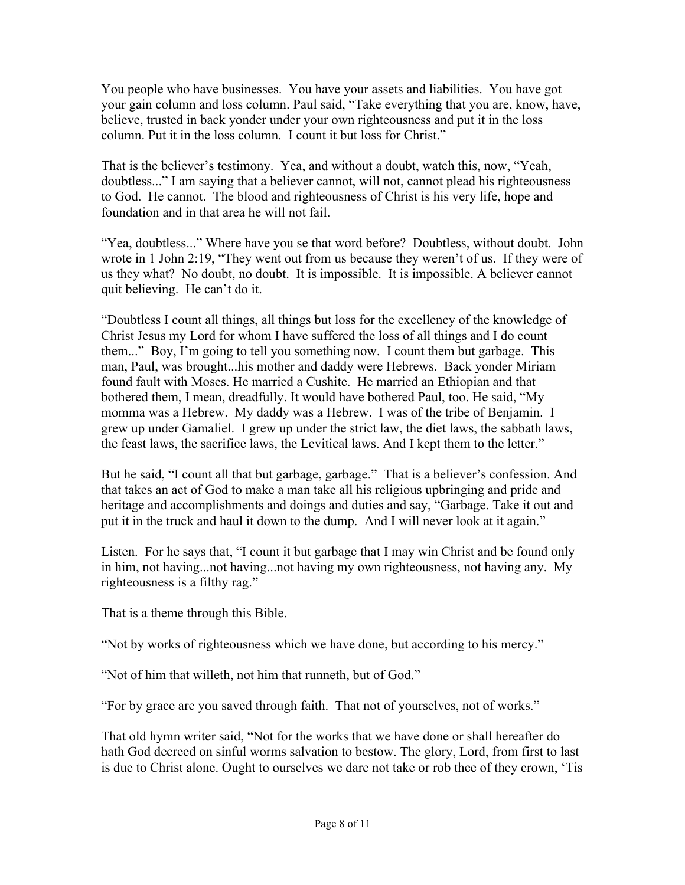You people who have businesses. You have your assets and liabilities. You have got your gain column and loss column. Paul said, "Take everything that you are, know, have, believe, trusted in back yonder under your own righteousness and put it in the loss column. Put it in the loss column. I count it but loss for Christ."

That is the believer's testimony. Yea, and without a doubt, watch this, now, "Yeah, doubtless..." I am saying that a believer cannot, will not, cannot plead his righteousness to God. He cannot. The blood and righteousness of Christ is his very life, hope and foundation and in that area he will not fail.

"Yea, doubtless..." Where have you se that word before? Doubtless, without doubt. John wrote in 1 John 2:19, "They went out from us because they weren't of us. If they were of us they what? No doubt, no doubt. It is impossible. It is impossible. A believer cannot quit believing. He can't do it.

"Doubtless I count all things, all things but loss for the excellency of the knowledge of Christ Jesus my Lord for whom I have suffered the loss of all things and I do count them..." Boy, I'm going to tell you something now. I count them but garbage. This man, Paul, was brought...his mother and daddy were Hebrews. Back yonder Miriam found fault with Moses. He married a Cushite. He married an Ethiopian and that bothered them, I mean, dreadfully. It would have bothered Paul, too. He said, "My momma was a Hebrew. My daddy was a Hebrew. I was of the tribe of Benjamin. I grew up under Gamaliel. I grew up under the strict law, the diet laws, the sabbath laws, the feast laws, the sacrifice laws, the Levitical laws. And I kept them to the letter."

But he said, "I count all that but garbage, garbage." That is a believer's confession. And that takes an act of God to make a man take all his religious upbringing and pride and heritage and accomplishments and doings and duties and say, "Garbage. Take it out and put it in the truck and haul it down to the dump. And I will never look at it again."

Listen. For he says that, "I count it but garbage that I may win Christ and be found only in him, not having...not having...not having my own righteousness, not having any. My righteousness is a filthy rag."

That is a theme through this Bible.

"Not by works of righteousness which we have done, but according to his mercy."

"Not of him that willeth, not him that runneth, but of God."

"For by grace are you saved through faith. That not of yourselves, not of works."

That old hymn writer said, "Not for the works that we have done or shall hereafter do hath God decreed on sinful worms salvation to bestow. The glory, Lord, from first to last is due to Christ alone. Ought to ourselves we dare not take or rob thee of they crown, 'Tis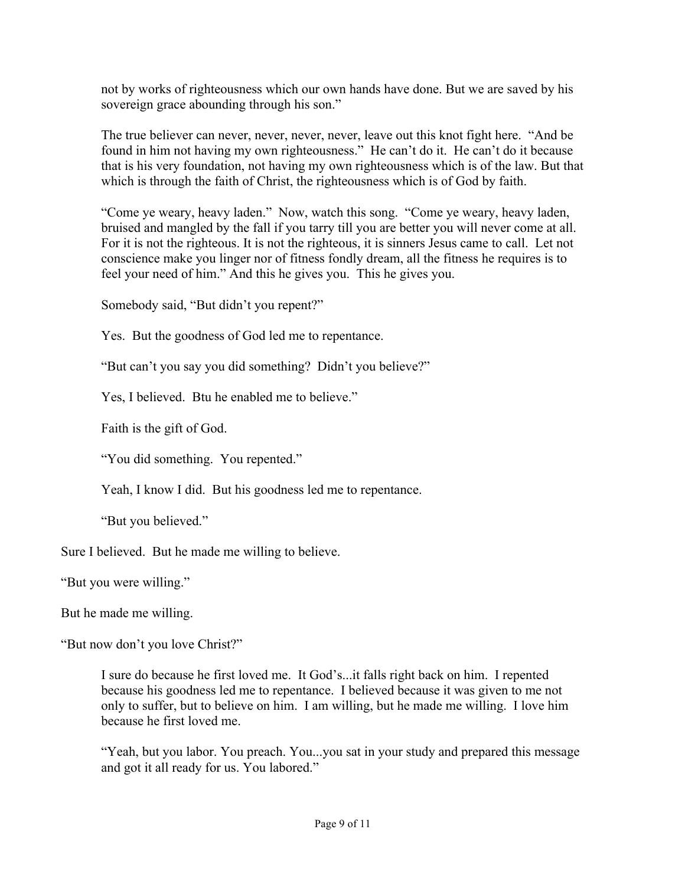not by works of righteousness which our own hands have done. But we are saved by his sovereign grace abounding through his son."

The true believer can never, never, never, never, leave out this knot fight here. "And be found in him not having my own righteousness." He can't do it. He can't do it because that is his very foundation, not having my own righteousness which is of the law. But that which is through the faith of Christ, the righteousness which is of God by faith.

"Come ye weary, heavy laden." Now, watch this song. "Come ye weary, heavy laden, bruised and mangled by the fall if you tarry till you are better you will never come at all. For it is not the righteous. It is not the righteous, it is sinners Jesus came to call. Let not conscience make you linger nor of fitness fondly dream, all the fitness he requires is to feel your need of him." And this he gives you. This he gives you.

Somebody said, "But didn't you repent?"

Yes. But the goodness of God led me to repentance.

"But can't you say you did something? Didn't you believe?"

Yes, I believed. Btu he enabled me to believe."

Faith is the gift of God.

"You did something. You repented."

Yeah, I know I did. But his goodness led me to repentance.

"But you believed."

Sure I believed. But he made me willing to believe.

"But you were willing."

But he made me willing.

"But now don't you love Christ?"

I sure do because he first loved me. It God's...it falls right back on him. I repented because his goodness led me to repentance. I believed because it was given to me not only to suffer, but to believe on him. I am willing, but he made me willing. I love him because he first loved me.

"Yeah, but you labor. You preach. You...you sat in your study and prepared this message and got it all ready for us. You labored."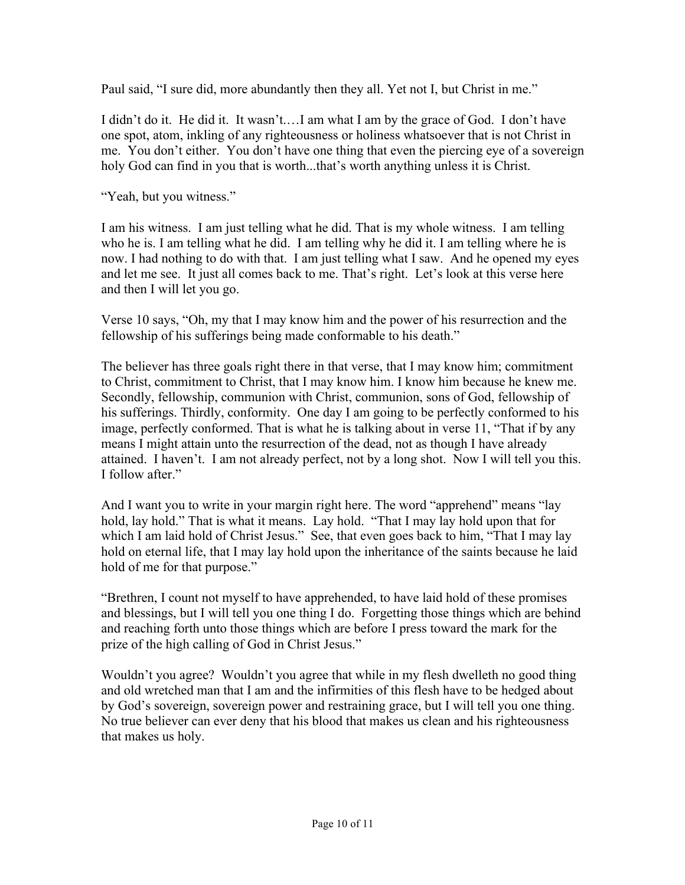Paul said, "I sure did, more abundantly then they all. Yet not I, but Christ in me."

I didn't do it. He did it. It wasn't.…I am what I am by the grace of God. I don't have one spot, atom, inkling of any righteousness or holiness whatsoever that is not Christ in me. You don't either. You don't have one thing that even the piercing eye of a sovereign holy God can find in you that is worth...that's worth anything unless it is Christ.

"Yeah, but you witness."

I am his witness. I am just telling what he did. That is my whole witness. I am telling who he is. I am telling what he did. I am telling why he did it. I am telling where he is now. I had nothing to do with that. I am just telling what I saw. And he opened my eyes and let me see. It just all comes back to me. That's right. Let's look at this verse here and then I will let you go.

Verse 10 says, "Oh, my that I may know him and the power of his resurrection and the fellowship of his sufferings being made conformable to his death."

The believer has three goals right there in that verse, that I may know him; commitment to Christ, commitment to Christ, that I may know him. I know him because he knew me. Secondly, fellowship, communion with Christ, communion, sons of God, fellowship of his sufferings. Thirdly, conformity. One day I am going to be perfectly conformed to his image, perfectly conformed. That is what he is talking about in verse 11, "That if by any means I might attain unto the resurrection of the dead, not as though I have already attained. I haven't. I am not already perfect, not by a long shot. Now I will tell you this. I follow after."

And I want you to write in your margin right here. The word "apprehend" means "lay hold, lay hold." That is what it means. Lay hold. "That I may lay hold upon that for which I am laid hold of Christ Jesus." See, that even goes back to him, "That I may lay hold on eternal life, that I may lay hold upon the inheritance of the saints because he laid hold of me for that purpose."

"Brethren, I count not myself to have apprehended, to have laid hold of these promises and blessings, but I will tell you one thing I do. Forgetting those things which are behind and reaching forth unto those things which are before I press toward the mark for the prize of the high calling of God in Christ Jesus."

Wouldn't you agree? Wouldn't you agree that while in my flesh dwelleth no good thing and old wretched man that I am and the infirmities of this flesh have to be hedged about by God's sovereign, sovereign power and restraining grace, but I will tell you one thing. No true believer can ever deny that his blood that makes us clean and his righteousness that makes us holy.